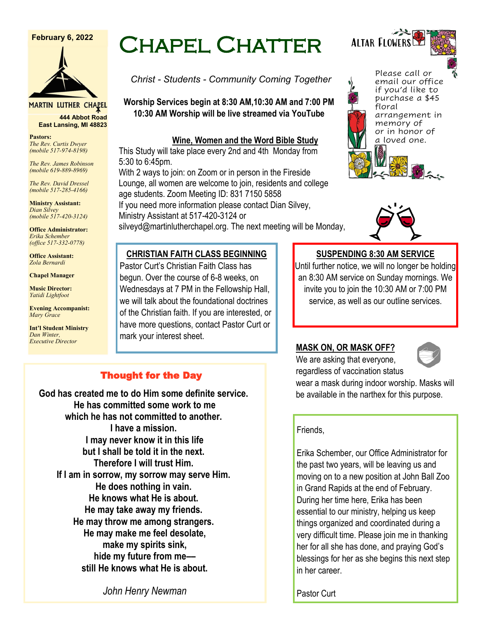#### **February 6, 2022**



**MARTIN LUTHER CHAPEL 444 Abbot Road**

**East Lansing, MI 48823**

**Pastors:** *The Rev. Curtis Dwyer (mobile 517-974-8198)*

*The Rev. James Robinson (mobile 619-889-8969)*

*The Rev. David Dressel (mobile 517-285-4166)*

**Ministry Assistant:**  *Dian Silvey (mobile 517-420-3124)*

**Office Administrator:** *Erika Schember (office 517-332-0778)*

**Office Assistant:** *Zola Bernardi*

**Chapel Manager** 

**Music Director:** *Yatidi Lightfoot* 

**Evening Accompanist:** *Mary Grace*

**Int'l Student Ministry** *Dan Winter, Executive Director*

# Chapel Chatter

*Christ - Students - Community Coming Together*

**Worship Services begin at 8:30 AM,10:30 AM and 7:00 PM 10:30 AM Worship will be live streamed via YouTube**

#### **Wine, Women and the Word Bible Study**

This Study will take place every 2nd and 4th Monday from 5:30 to 6:45pm.

With 2 ways to join: on Zoom or in person in the Fireside Lounge, all women are welcome to join, residents and college age students. Zoom Meeting ID: 831 7150 5858

If you need more information please contact Dian Silvey, Ministry Assistant at 517-420-3124 or

silveyd@martinlutherchapel.org. The next meeting will be Monday,

## **CHRISTIAN FAITH CLASS BEGINNING**

Pastor Curt's Christian Faith Class has begun. Over the course of 6-8 weeks, on Wednesdays at 7 PM in the Fellowship Hall, we will talk about the foundational doctrines of the Christian faith. If you are interested, or have more questions, contact Pastor Curt or mark your interest sheet.

## **SUSPENDING 8:30 AM SERVICE**

Until further notice, we will no longer be holding an 8:30 AM service on Sunday mornings. We invite you to join the 10:30 AM or 7:00 PM service, as well as our outline services.

## **MASK ON, OR MASK OFF?**

We are asking that everyone, regardless of vaccination status



wear a mask during indoor worship. Masks will be available in the narthex for this purpose.

## Friends,

Erika Schember, our Office Administrator for the past two years, will be leaving us and moving on to a new position at John Ball Zoo in Grand Rapids at the end of February. During her time here, Erika has been essential to our ministry, helping us keep things organized and coordinated during a very difficult time. Please join me in thanking her for all she has done, and praying God's blessings for her as she begins this next step in her career.

**He knows what He is about. He may take away my friends.**

**God has created me to do Him some definite service. He has committed some work to me which he has not committed to another. I have a mission. I may never know it in this life but I shall be told it in the next. Therefore I will trust Him. If I am in sorrow, my sorrow may serve Him. He does nothing in vain.**

Thought for the Day

**He may throw me among strangers. He may make me feel desolate, make my spirits sink, hide my future from me–– still He knows what He is about.**

*John Henry Newman*

Pastor Curt



floral

Please call or email our office if you'd like to purchase a \$45

arrangement in memory of or in honor of a loved one.